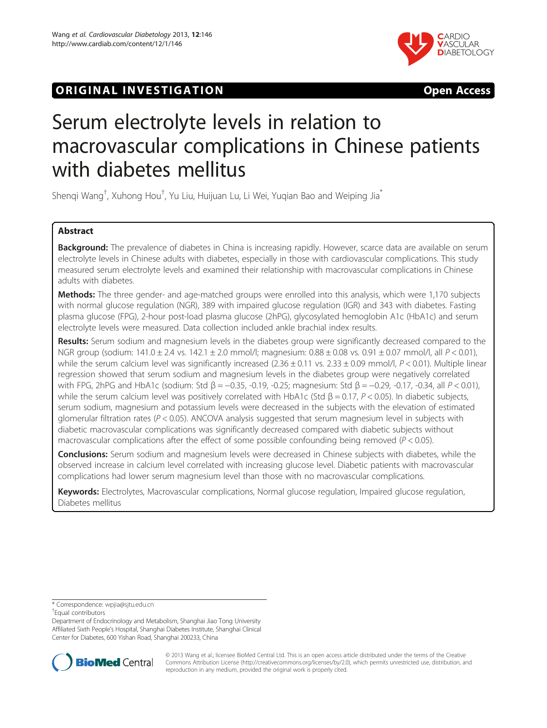# **ORIGINAL INVESTIGATION CONSUMING THE SET OF STATION**



# Serum electrolyte levels in relation to macrovascular complications in Chinese patients with diabetes mellitus

Shenqi Wang<sup>†</sup>, Xuhong Hou<sup>†</sup>, Yu Liu, Huijuan Lu, Li Wei, Yuqian Bao and Weiping Jia<sup>\*</sup>

# Abstract

Background: The prevalence of diabetes in China is increasing rapidly. However, scarce data are available on serum electrolyte levels in Chinese adults with diabetes, especially in those with cardiovascular complications. This study measured serum electrolyte levels and examined their relationship with macrovascular complications in Chinese adults with diabetes.

Methods: The three gender- and age-matched groups were enrolled into this analysis, which were 1,170 subjects with normal glucose regulation (NGR), 389 with impaired glucose regulation (IGR) and 343 with diabetes. Fasting plasma glucose (FPG), 2-hour post-load plasma glucose (2hPG), glycosylated hemoglobin A1c (HbA1c) and serum electrolyte levels were measured. Data collection included ankle brachial index results.

Results: Serum sodium and magnesium levels in the diabetes group were significantly decreased compared to the NGR group (sodium: 141.0 ± 2.4 vs. 142.1 ± 2.0 mmol/l; magnesium: 0.88 ± 0.08 vs. 0.91 ± 0.07 mmol/l, all P < 0.01), while the serum calcium level was significantly increased  $(2.36 \pm 0.11$  vs.  $2.33 \pm 0.09$  mmol/l,  $P < 0.01$ ). Multiple linear regression showed that serum sodium and magnesium levels in the diabetes group were negatively correlated with FPG, 2hPG and HbA1c (sodium: Std  $\beta = -0.35$ , -0.19, -0.25; magnesium: Std  $\beta = -0.29$ , -0.17, -0.34, all P < 0.01), while the serum calcium level was positively correlated with HbA1c (Std  $\beta = 0.17$ ,  $P < 0.05$ ). In diabetic subjects, serum sodium, magnesium and potassium levels were decreased in the subjects with the elevation of estimated glomerular filtration rates ( $P < 0.05$ ). ANCOVA analysis suggested that serum magnesium level in subjects with diabetic macrovascular complications was significantly decreased compared with diabetic subjects without macrovascular complications after the effect of some possible confounding being removed ( $P < 0.05$ ).

Conclusions: Serum sodium and magnesium levels were decreased in Chinese subjects with diabetes, while the observed increase in calcium level correlated with increasing glucose level. Diabetic patients with macrovascular complications had lower serum magnesium level than those with no macrovascular complications.

Keywords: Electrolytes, Macrovascular complications, Normal glucose regulation, Impaired glucose regulation, Diabetes mellitus

\* Correspondence: [wpjia@sjtu.edu.cn](mailto:wpjia@sjtu.edu.cn) †

Equal contributors

Department of Endocrinology and Metabolism, Shanghai Jiao Tong University Affiliated Sixth People's Hospital, Shanghai Diabetes Institute, Shanghai Clinical Center for Diabetes, 600 Yishan Road, Shanghai 200233, China



© 2013 Wang et al.; licensee BioMed Central Ltd. This is an open access article distributed under the terms of the Creative Commons Attribution License [\(http://creativecommons.org/licenses/by/2.0\)](http://creativecommons.org/licenses/by/2.0), which permits unrestricted use, distribution, and reproduction in any medium, provided the original work is properly cited.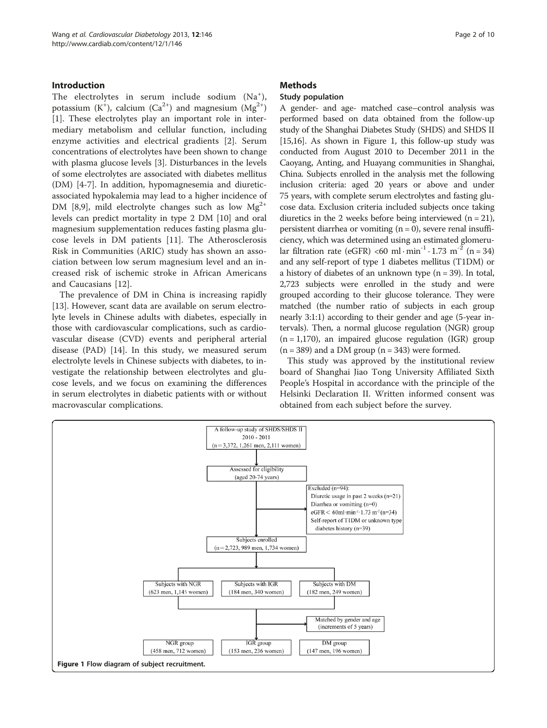# Introduction

The electrolytes in serum include sodium  $(Na<sup>+</sup>)$ , potassium (K<sup>+</sup>), calcium (Ca<sup>2+</sup>) and magnesium (Mg<sup>2+</sup>) [[1\]](#page-7-0). These electrolytes play an important role in intermediary metabolism and cellular function, including enzyme activities and electrical gradients [\[2](#page-7-0)]. Serum concentrations of electrolytes have been shown to change with plasma glucose levels [\[3](#page-7-0)]. Disturbances in the levels of some electrolytes are associated with diabetes mellitus (DM) [[4-7\]](#page-7-0). In addition, hypomagnesemia and diureticassociated hypokalemia may lead to a higher incidence of DM [\[8,9](#page-7-0)], mild electrolyte changes such as low  $Mg^{2+}$ levels can predict mortality in type 2 DM [\[10\]](#page-7-0) and oral magnesium supplementation reduces fasting plasma glucose levels in DM patients [\[11](#page-8-0)]. The Atherosclerosis Risk in Communities (ARIC) study has shown an association between low serum magnesium level and an increased risk of ischemic stroke in African Americans and Caucasians [\[12](#page-8-0)].

The prevalence of DM in China is increasing rapidly [[13\]](#page-8-0). However, scant data are available on serum electrolyte levels in Chinese adults with diabetes, especially in those with cardiovascular complications, such as cardiovascular disease (CVD) events and peripheral arterial disease (PAD) [\[14](#page-8-0)]. In this study, we measured serum electrolyte levels in Chinese subjects with diabetes, to investigate the relationship between electrolytes and glucose levels, and we focus on examining the differences in serum electrolytes in diabetic patients with or without macrovascular complications.

### **Methods**

# Study population

A gender- and age- matched case–control analysis was performed based on data obtained from the follow-up study of the Shanghai Diabetes Study (SHDS) and SHDS II [[15,16\]](#page-8-0). As shown in Figure 1, this follow-up study was conducted from August 2010 to December 2011 in the Caoyang, Anting, and Huayang communities in Shanghai, China. Subjects enrolled in the analysis met the following inclusion criteria: aged 20 years or above and under 75 years, with complete serum electrolytes and fasting glucose data. Exclusion criteria included subjects once taking diuretics in the 2 weeks before being interviewed  $(n = 21)$ , persistent diarrhea or vomiting  $(n = 0)$ , severe renal insufficiency, which was determined using an estimated glomerular filtration rate (eGFR) <60 ml·min<sup>-1</sup>·1.73 m<sup>-2</sup> (n = 34) and any self-report of type 1 diabetes mellitus (T1DM) or a history of diabetes of an unknown type  $(n = 39)$ . In total, 2,723 subjects were enrolled in the study and were grouped according to their glucose tolerance. They were matched (the number ratio of subjects in each group nearly 3:1:1) according to their gender and age (5-year intervals). Then, a normal glucose regulation (NGR) group  $(n = 1,170)$ , an impaired glucose regulation (IGR) group  $(n = 389)$  and a DM group  $(n = 343)$  were formed.

This study was approved by the institutional review board of Shanghai Jiao Tong University Affiliated Sixth People's Hospital in accordance with the principle of the Helsinki Declaration II. Written informed consent was obtained from each subject before the survey.

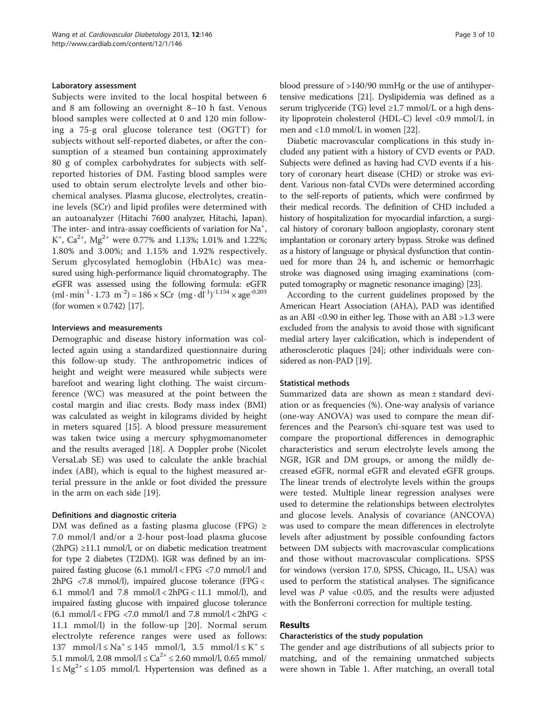#### Laboratory assessment

Subjects were invited to the local hospital between 6 and 8 am following an overnight 8–10 h fast. Venous blood samples were collected at 0 and 120 min following a 75-g oral glucose tolerance test (OGTT) for subjects without self-reported diabetes, or after the consumption of a steamed bun containing approximately 80 g of complex carbohydrates for subjects with selfreported histories of DM. Fasting blood samples were used to obtain serum electrolyte levels and other biochemical analyses. Plasma glucose, electrolytes, creatinine levels (SCr) and lipid profiles were determined with an autoanalyzer (Hitachi 7600 analyzer, Hitachi, Japan). The inter- and intra-assay coefficients of variation for  $\text{Na}^+$ , K<sup>+</sup>, Ca<sup>2+</sup>, Mg<sup>2+</sup> were 0.77% and 1.13%; 1.01% and 1.22%; 1.80% and 3.00%; and 1.15% and 1.92% respectively. Serum glycosylated hemoglobin (HbA1c) was measured using high-performance liquid chromatography. The eGFR was assessed using the following formula: eGFR  $(ml \cdot min^{-1} \cdot 1.73 \text{ m}^{-2}) = 186 \times \text{SCr} \text{ (mg} \cdot \text{dl}^{-1})^{-1.154} \times \text{age}^{-0.203}$ (for women  $\times$  0.742) [\[17\]](#page-8-0).

#### Interviews and measurements

Demographic and disease history information was collected again using a standardized questionnaire during this follow-up study. The anthropometric indices of height and weight were measured while subjects were barefoot and wearing light clothing. The waist circumference (WC) was measured at the point between the costal margin and iliac crests. Body mass index (BMI) was calculated as weight in kilograms divided by height in meters squared [[15](#page-8-0)]. A blood pressure measurement was taken twice using a mercury sphygmomanometer and the results averaged [\[18](#page-8-0)]. A Doppler probe (Nicolet VersaLab SE) was used to calculate the ankle brachial index (ABI), which is equal to the highest measured arterial pressure in the ankle or foot divided the pressure in the arm on each side [[19](#page-8-0)].

#### Definitions and diagnostic criteria

DM was defined as a fasting plasma glucose (FPG)  $\ge$ 7.0 mmol/l and/or a 2-hour post-load plasma glucose  $(2hPG) \geq 11.1$  mmol/l, or on diabetic medication treatment for type 2 diabetes (T2DM). IGR was defined by an impaired fasting glucose (6.1 mmol/l < FPG <7.0 mmol/l and 2hPG <7.8 mmol/l), impaired glucose tolerance (FPG < 6.1 mmol/l and 7.8 mmol/l  $<$  2hPG  $<$  11.1 mmol/l), and impaired fasting glucose with impaired glucose tolerance  $(6.1 \text{ mmol/l} <$  FPG  $<$  7.0 mmol/l and 7.8 mmol/l  $<$  2hPG  $<$ 11.1 mmol/l) in the follow-up [\[20\]](#page-8-0). Normal serum electrolyte reference ranges were used as follows: 137 mmol/l  $\leq$  Na<sup>+</sup>  $\leq$  145 mmol/l, 3.5 mmol/l  $\leq$  K<sup>+</sup>  $\leq$ 5.1 mmol/l, 2.08 mmol/l  $\leq$  Ca<sup>2+</sup>  $\leq$  2.60 mmol/l, 0.65 mmol/ l ≤ Mg<sup>2+</sup> ≤ 1.05 mmol/l. Hypertension was defined as a blood pressure of >140/90 mmHg or the use of antihypertensive medications [\[21](#page-8-0)]. Dyslipidemia was defined as a serum triglyceride (TG) level  $\geq$ 1.7 mmol/L or a high density lipoprotein cholesterol (HDL-C) level <0.9 mmol/L in men and <1.0 mmol/L in women [\[22](#page-8-0)].

Diabetic macrovascular complications in this study included any patient with a history of CVD events or PAD. Subjects were defined as having had CVD events if a history of coronary heart disease (CHD) or stroke was evident. Various non-fatal CVDs were determined according to the self-reports of patients, which were confirmed by their medical records. The definition of CHD included a history of hospitalization for myocardial infarction, a surgical history of coronary balloon angioplasty, coronary stent implantation or coronary artery bypass. Stroke was defined as a history of language or physical dysfunction that continued for more than 24 h, and ischemic or hemorrhagic stroke was diagnosed using imaging examinations (computed tomography or magnetic resonance imaging) [\[23](#page-8-0)].

According to the current guidelines proposed by the American Heart Association (AHA), PAD was identified as an ABI <0.90 in either leg. Those with an ABI >1.3 were excluded from the analysis to avoid those with significant medial artery layer calcification, which is independent of atherosclerotic plaques [\[24\]](#page-8-0); other individuals were considered as non-PAD [\[19\]](#page-8-0).

#### Statistical methods

Summarized data are shown as mean ± standard deviation or as frequencies (%). One-way analysis of variance (one-way ANOVA) was used to compare the mean differences and the Pearson's chi-square test was used to compare the proportional differences in demographic characteristics and serum electrolyte levels among the NGR, IGR and DM groups, or among the mildly decreased eGFR, normal eGFR and elevated eGFR groups. The linear trends of electrolyte levels within the groups were tested. Multiple linear regression analyses were used to determine the relationships between electrolytes and glucose levels. Analysis of covariance (ANCOVA) was used to compare the mean differences in electrolyte levels after adjustment by possible confounding factors between DM subjects with macrovascular complications and those without macrovascular complications. SPSS for windows (version 17.0, SPSS, Chicago, IL, USA) was used to perform the statistical analyses. The significance level was  $P$  value <0.05, and the results were adjusted with the Bonferroni correction for multiple testing.

# Results

#### Characteristics of the study population

The gender and age distributions of all subjects prior to matching, and of the remaining unmatched subjects were shown in Table [1.](#page-3-0) After matching, an overall total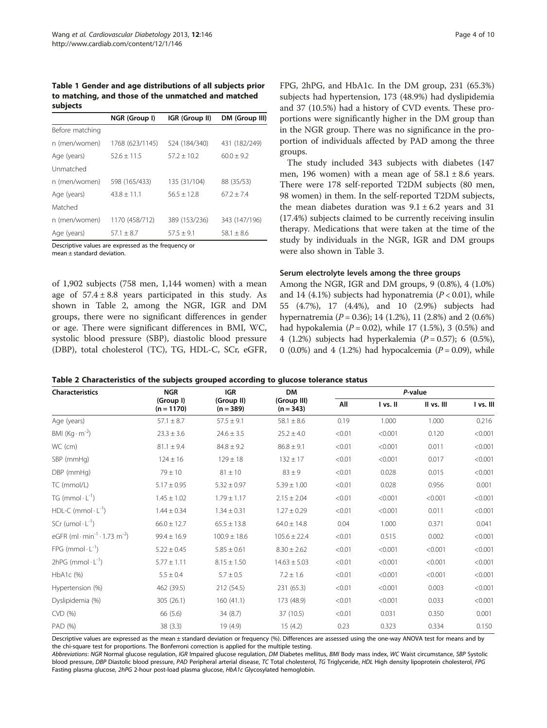<span id="page-3-0"></span>Table 1 Gender and age distributions of all subjects prior to matching, and those of the unmatched and matched subjects

|                 | NGR (Group I)   | IGR (Group II) | DM (Group III) |  |
|-----------------|-----------------|----------------|----------------|--|
| Before matching |                 |                |                |  |
| n (men/women)   | 1768 (623/1145) | 524 (184/340)  | 431 (182/249)  |  |
| Age (years)     | $52.6 + 11.5$   | $57.2 + 10.2$  | $60.0 + 9.2$   |  |
| Unmatched       |                 |                |                |  |
| n (men/women)   | 598 (165/433)   | 135 (31/104)   | 88 (35/53)     |  |
| Age (years)     | $43.8 + 11.1$   | $56.5 + 12.8$  | $67.2 + 7.4$   |  |
| Matched         |                 |                |                |  |
| n (men/women)   | 1170 (458/712)  | 389 (153/236)  | 343 (147/196)  |  |
| Age (years)     | $57.1 \pm 8.7$  | $57.5 \pm 9.1$ | $58.1 \pm 8.6$ |  |

Descriptive values are expressed as the frequency or

mean ± standard deviation.

of 1,902 subjects (758 men, 1,144 women) with a mean age of  $57.4 \pm 8.8$  years participated in this study. As shown in Table 2, among the NGR, IGR and DM groups, there were no significant differences in gender or age. There were significant differences in BMI, WC, systolic blood pressure (SBP), diastolic blood pressure (DBP), total cholesterol (TC), TG, HDL-C, SCr, eGFR, FPG, 2hPG, and HbA1c. In the DM group, 231 (65.3%) subjects had hypertension, 173 (48.9%) had dyslipidemia and 37 (10.5%) had a history of CVD events. These proportions were significantly higher in the DM group than in the NGR group. There was no significance in the proportion of individuals affected by PAD among the three groups.

The study included 343 subjects with diabetes (147 men, 196 women) with a mean age of  $58.1 \pm 8.6$  years. There were 178 self-reported T2DM subjects (80 men, 98 women) in them. In the self-reported T2DM subjects, the mean diabetes duration was  $9.1 \pm 6.2$  years and 31 (17.4%) subjects claimed to be currently receiving insulin therapy. Medications that were taken at the time of the study by individuals in the NGR, IGR and DM groups were also shown in Table [3](#page-4-0).

### Serum electrolyte levels among the three groups

Among the NGR, IGR and DM groups, 9 (0.8%), 4 (1.0%) and 14 (4.1%) subjects had hyponatremia ( $P < 0.01$ ), while 55 (4.7%), 17 (4.4%), and 10 (2.9%) subjects had hypernatremia ( $P = 0.36$ ); 14 (1.2%), 11 (2.8%) and 2 (0.6%) had hypokalemia ( $P = 0.02$ ), while 17 (1.5%), 3 (0.5%) and 4 (1.2%) subjects had hyperkalemia ( $P = 0.57$ ); 6 (0.5%), 0 (0.0%) and 4 (1.2%) had hypocalcemia ( $P = 0.09$ ), while

| Table 2 Characteristics of the subjects grouped according to glucose tolerance status |  |
|---------------------------------------------------------------------------------------|--|
|---------------------------------------------------------------------------------------|--|

| <b>Characteristics</b>                                            | <b>NGR</b>                | <b>IGR</b>                | <b>DM</b>                  |        | P-value  |            |           |  |  |
|-------------------------------------------------------------------|---------------------------|---------------------------|----------------------------|--------|----------|------------|-----------|--|--|
|                                                                   | (Group I)<br>$(n = 1170)$ | (Group II)<br>$(n = 389)$ | (Group III)<br>$(n = 343)$ | All    | I vs. II | II vs. III | I vs. III |  |  |
| Age (years)                                                       | $57.1 \pm 8.7$            | $57.5 \pm 9.1$            | $58.1 \pm 8.6$             | 0.19   | 1.000    | 1.000      | 0.216     |  |  |
| BMI $(Kq \cdot m^{-2})$                                           | $23.3 \pm 3.6$            | $24.6 \pm 3.5$            | $25.2 \pm 4.0$             | < 0.01 | < 0.001  | 0.120      | < 0.001   |  |  |
| WC (cm)                                                           | $81.1 \pm 9.4$            | $84.8 \pm 9.2$            | $86.8 \pm 9.1$             | < 0.01 | < 0.001  | 0.011      | < 0.001   |  |  |
| SBP (mmHg)                                                        | $124 \pm 16$              | $129 \pm 18$              | $132 \pm 17$               | < 0.01 | < 0.001  | 0.017      | < 0.001   |  |  |
| DBP (mmHg)                                                        | $79 \pm 10$               | $81 \pm 10$               | $83 \pm 9$                 | < 0.01 | 0.028    | 0.015      | < 0.001   |  |  |
| TC (mmol/L)                                                       | $5.17 \pm 0.95$           | $5.32 \pm 0.97$           | $5.39 \pm 1.00$            | < 0.01 | 0.028    | 0.956      | 0.001     |  |  |
| $TG$ (mmol $\cdot L^{-1}$ )                                       | $1.45 \pm 1.02$           | $1.79 \pm 1.17$           | $2.15 \pm 2.04$            | < 0.01 | < 0.001  | < 0.001    | < 0.001   |  |  |
| HDL-C (mmol $\cdot$ L <sup>-1</sup> )                             | $1.44 \pm 0.34$           | $1.34 \pm 0.31$           | $1.27 \pm 0.29$            | < 0.01 | < 0.001  | 0.011      | < 0.001   |  |  |
| SCr (umol $\cdot$ L <sup>-1</sup> )                               | $66.0 \pm 12.7$           | $65.5 \pm 13.8$           | $64.0 \pm 14.8$            | 0.04   | 1.000    | 0.371      | 0.041     |  |  |
| eGFR (ml $\cdot$ min <sup>-1</sup> $\cdot$ 1.73 m <sup>-2</sup> ) | $99.4 \pm 16.9$           | $100.9 \pm 18.6$          | $105.6 \pm 22.4$           | < 0.01 | 0.515    | 0.002      | < 0.001   |  |  |
| FPG (mmol $\cdot$ L <sup>-1</sup> )                               | $5.22 \pm 0.45$           | $5.85 \pm 0.61$           | $8.30 \pm 2.62$            | < 0.01 | < 0.001  | < 0.001    | < 0.001   |  |  |
| $2hPG$ (mmol $\cdot$ L <sup>-1</sup> )                            | $5.77 \pm 1.11$           | $8.15 \pm 1.50$           | $14.63 \pm 5.03$           | < 0.01 | < 0.001  | < 0.001    | < 0.001   |  |  |
| $HbA1c$ (%)                                                       | $5.5 \pm 0.4$             | $5.7 \pm 0.5$             | $7.2 \pm 1.6$              | < 0.01 | < 0.001  | < 0.001    | < 0.001   |  |  |
| Hypertension (%)                                                  | 462 (39.5)                | 212 (54.5)                | 231 (65.3)                 | < 0.01 | < 0.001  | 0.003      | < 0.001   |  |  |
| Dyslipidemia (%)                                                  | 305 (26.1)                | 160(41.1)                 | 173 (48.9)                 | < 0.01 | < 0.001  | 0.033      | < 0.001   |  |  |
| CVD (%)                                                           | 66 (5.6)                  | 34(8.7)                   | 37 (10.5)                  | < 0.01 | 0.031    | 0.350      | 0.001     |  |  |
| PAD (%)                                                           | 38(3.3)                   | 19 (4.9)                  | 15(4.2)                    | 0.23   | 0.323    | 0.334      | 0.150     |  |  |

Descriptive values are expressed as the mean ± standard deviation or frequency (%). Differences are assessed using the one-way ANOVA test for means and by the chi-square test for proportions. The Bonferroni correction is applied for the multiple testing.

Abbreviations: NGR Normal glucose regulation, IGR Impaired glucose regulation, DM Diabetes mellitus, BMI Body mass index, WC Waist circumstance, SBP Systolic blood pressure, DBP Diastolic blood pressure, PAD Peripheral arterial disease, TC Total cholesterol, TG Triglyceride, HDL High density lipoprotein cholesterol, FPG Fasting plasma glucose, 2hPG 2-hour post-load plasma glucose, HbA1c Glycosylated hemoglobin.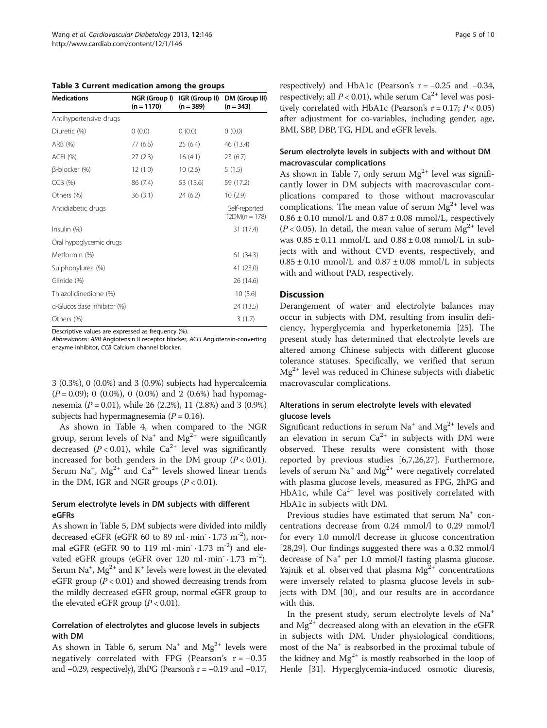<span id="page-4-0"></span>Table 3 Current medication among the groups

| <b>Medications</b>          | NGR (Group I)<br>$(n = 1170)$ | IGR (Group II)<br>$(n = 389)$ | DM (Group III)<br>$(n = 343)$    |
|-----------------------------|-------------------------------|-------------------------------|----------------------------------|
| Antihypertensive drugs      |                               |                               |                                  |
| Diuretic (%)                | (0.0)                         | 0(0.0)                        | 0(0.0)                           |
| ARB (%)                     | 77 (6.6)                      | 25(6.4)                       | 46 (13.4)                        |
| <b>ACEI (%)</b>             | 27(2.3)                       | 16(4.1)                       | 23(6.7)                          |
| $\beta$ -blocker (%)        | 12(1.0)                       | 10(2.6)                       | 5(1.5)                           |
| $CCB$ $(%)$                 | 86 (7.4)                      | 53 (13.6)                     | 59 (17.2)                        |
| Others (%)                  | 36(3.1)                       | 24(6.2)                       | 10(2.9)                          |
| Antidiabetic drugs          |                               |                               | Self-reported<br>$T2DM(n = 178)$ |
| Insulin (%)                 |                               |                               | 31 (17.4)                        |
| Oral hypoglycemic drugs     |                               |                               |                                  |
| Metformin (%)               |                               |                               | 61 (34.3)                        |
| Sulphonylurea (%)           |                               |                               | 41 (23.0)                        |
| Glinide (%)                 |                               |                               | 26 (14.6)                        |
| Thiazolidinedione (%)       |                               |                               | 10(5.6)                          |
| α-Glucosidase inhibitor (%) |                               |                               | 24 (13.5)                        |
| Others (%)                  |                               |                               | 3(1.7)                           |

Descriptive values are expressed as frequency (%).

Abbreviations: ARB Angiotensin II receptor blocker, ACEI Angiotensin-converting enzyme inhibitor, CCB Calcium channel blocker.

3 (0.3%), 0 (0.0%) and 3 (0.9%) subjects had hypercalcemia  $(P = 0.09)$ ; 0 (0.0%), 0 (0.0%) and 2 (0.6%) had hypomagnesemia ( $P = 0.01$ ), while 26 (2.2%), 11 (2.8%) and 3 (0.9%) subjects had hypermagnesemia ( $P = 0.16$ ).

As shown in Table [4,](#page-5-0) when compared to the NGR group, serum levels of Na<sup>+</sup> and Mg<sup>2+</sup> were significantly decreased ( $P < 0.01$ ), while Ca<sup>2+</sup> level was significantly increased for both genders in the DM group  $(P < 0.01)$ . Serum Na<sup>+</sup>, Mg<sup>2+</sup> and Ca<sup>2+</sup> levels showed linear trends in the DM, IGR and NGR groups  $(P < 0.01)$ .

# Serum electrolyte levels in DM subjects with different eGFRs

As shown in Table [5](#page-5-0), DM subjects were divided into mildly decreased eGFR (eGFR 60 to 89 ml·min · 1.73 m<sup>-2</sup>), normal eGFR (eGFR 90 to 119 ml·min $\cdot$  1.73 m<sup>-2</sup>) and elevated eGFR groups (eGFR over  $120 \text{ ml} \cdot \text{min} \cdot 1.73 \text{ m}^{-2}$ ). Serum  $\mathrm{Na^+}$ ,  $\mathrm{Mg^{2+}}$  and  $\mathrm{K^+}$  levels were lowest in the elevated eGFR group ( $P < 0.01$ ) and showed decreasing trends from the mildly decreased eGFR group, normal eGFR group to the elevated eGFR group  $(P < 0.01)$ .

# Correlation of electrolytes and glucose levels in subjects with DM

As shown in Table [6,](#page-6-0) serum  $Na^+$  and  $Mg^{2+}$  levels were negatively correlated with FPG (Pearson's r= −0.35 and  $-0.29$ , respectively), 2hPG (Pearson's r =  $-0.19$  and  $-0.17$ ,

respectively) and HbA1c (Pearson's  $r = -0.25$  and  $-0.34$ , respectively; all  $P < 0.01$ ), while serum Ca<sup>2+</sup> level was positively correlated with HbA1c (Pearson's  $r = 0.17$ ;  $P < 0.05$ ) after adjustment for co-variables, including gender, age, BMI, SBP, DBP, TG, HDL and eGFR levels.

# Serum electrolyte levels in subjects with and without DM macrovascular complications

As shown in Table [7](#page-6-0), only serum  $Mg^{2+}$  level was significantly lower in DM subjects with macrovascular complications compared to those without macrovascular complications. The mean value of serum  $Mg^{2+}$  level was  $0.86 \pm 0.10$  mmol/L and  $0.87 \pm 0.08$  mmol/L, respectively ( $P < 0.05$ ). In detail, the mean value of serum  $Mg^{2+}$  level was  $0.85 \pm 0.11$  mmol/L and  $0.88 \pm 0.08$  mmol/L in subjects with and without CVD events, respectively, and  $0.85 \pm 0.10$  mmol/L and  $0.87 \pm 0.08$  mmol/L in subjects with and without PAD, respectively.

# **Discussion**

Derangement of water and electrolyte balances may occur in subjects with DM, resulting from insulin deficiency, hyperglycemia and hyperketonemia [[25\]](#page-8-0). The present study has determined that electrolyte levels are altered among Chinese subjects with different glucose tolerance statuses. Specifically, we verified that serum  $Mg^{2+}$  level was reduced in Chinese subjects with diabetic macrovascular complications.

# Alterations in serum electrolyte levels with elevated glucose levels

Significant reductions in serum  $Na^+$  and  $Mg^{2+}$  levels and an elevation in serum  $Ca^{2+}$  in subjects with DM were observed. These results were consistent with those reported by previous studies [[6](#page-7-0),[7,](#page-7-0)[26](#page-8-0),[27](#page-8-0)]. Furthermore, levels of serum Na<sup>+</sup> and Mg<sup>2+</sup> were negatively correlated with plasma glucose levels, measured as FPG, 2hPG and HbA1c, while  $Ca^{2+}$  level was positively correlated with HbA1c in subjects with DM.

Previous studies have estimated that serum Na<sup>+</sup> concentrations decrease from 0.24 mmol/l to 0.29 mmol/l for every 1.0 mmol/l decrease in glucose concentration [[28,29\]](#page-8-0). Our findings suggested there was a 0.32 mmol/l decrease of Na<sup>+</sup> per 1.0 mmol/l fasting plasma glucose. Yajnik et al. observed that plasma  $Mg^{2+}$  concentrations were inversely related to plasma glucose levels in subjects with DM [\[30\]](#page-8-0), and our results are in accordance with this.

In the present study, serum electrolyte levels of Na<sup>+</sup> and  $Mg^{2+}$  decreased along with an elevation in the eGFR in subjects with DM. Under physiological conditions, most of the Na<sup>+</sup> is reabsorbed in the proximal tubule of the kidney and  $Mg^{2+}$  is mostly reabsorbed in the loop of Henle [\[31](#page-8-0)]. Hyperglycemia-induced osmotic diuresis,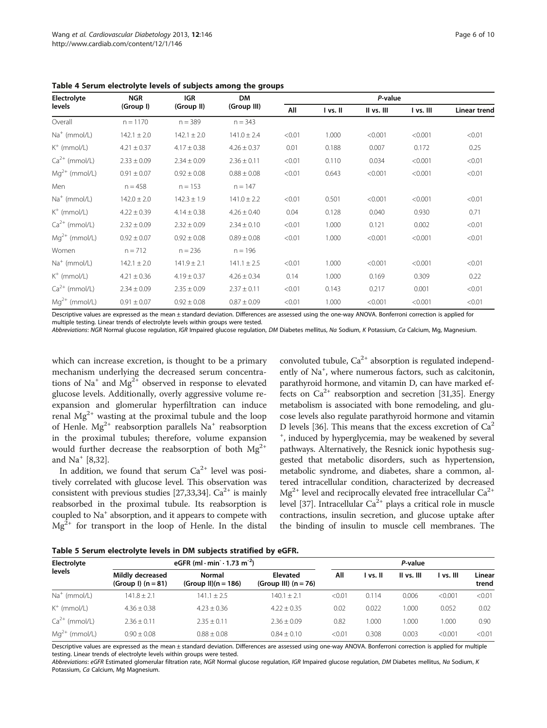| Electrolyte              | <b>NGR</b>      | <b>IGR</b>      | <b>DM</b>       | P-value |          |            |           |              |
|--------------------------|-----------------|-----------------|-----------------|---------|----------|------------|-----------|--------------|
| levels                   | (Group I)       | (Group II)      | (Group III)     | All     | I vs. II | II vs. III | I vs. III | Linear trend |
| Overall                  | $n = 1170$      | $n = 389$       | $n = 343$       |         |          |            |           |              |
| Na <sup>+</sup> (mmol/L) | $142.1 \pm 2.0$ | $142.1 \pm 2.0$ | $141.0 \pm 2.4$ | < 0.01  | 1.000    | < 0.001    | < 0.001   | < 0.01       |
| $K^+$ (mmol/L)           | $4.21 \pm 0.37$ | $4.17 \pm 0.38$ | $4.26 \pm 0.37$ | 0.01    | 0.188    | 0.007      | 0.172     | 0.25         |
| $Ca2+$ (mmol/L)          | $2.33 \pm 0.09$ | $2.34 \pm 0.09$ | $2.36 \pm 0.11$ | < 0.01  | 0.110    | 0.034      | < 0.001   | < 0.01       |
| $Mq^{2+}$ (mmol/L)       | $0.91 \pm 0.07$ | $0.92 \pm 0.08$ | $0.88 \pm 0.08$ | < 0.01  | 0.643    | < 0.001    | < 0.001   | < 0.01       |
| Men                      | $n = 458$       | $n = 153$       | $n = 147$       |         |          |            |           |              |
| $Na+$ (mmol/L)           | $142.0 \pm 2.0$ | $142.3 \pm 1.9$ | $141.0 \pm 2.2$ | < 0.01  | 0.501    | < 0.001    | < 0.001   | < 0.01       |
| $K^+$ (mmol/L)           | $4.22 \pm 0.39$ | $4.14 \pm 0.38$ | $4.26 \pm 0.40$ | 0.04    | 0.128    | 0.040      | 0.930     | 0.71         |
| $Ca2+$ (mmol/L)          | $2.32 \pm 0.09$ | $2.32 \pm 0.09$ | $2.34 \pm 0.10$ | < 0.01  | 1.000    | 0.121      | 0.002     | < 0.01       |
| $Mq^{2+}$ (mmol/L)       | $0.92 \pm 0.07$ | $0.92 \pm 0.08$ | $0.89 \pm 0.08$ | < 0.01  | 1.000    | < 0.001    | < 0.001   | < 0.01       |
| Women                    | $n = 712$       | $n = 236$       | $n = 196$       |         |          |            |           |              |
| $Na+$ (mmol/L)           | $142.1 \pm 2.0$ | $141.9 \pm 2.1$ | $141.1 \pm 2.5$ | < 0.01  | 1.000    | < 0.001    | < 0.001   | < 0.01       |
| $K^+$ (mmol/L)           | $4.21 \pm 0.36$ | $4.19 \pm 0.37$ | $4.26 \pm 0.34$ | 0.14    | 1.000    | 0.169      | 0.309     | 0.22         |
| $Ca2+$ (mmol/L)          | $2.34 \pm 0.09$ | $2.35 \pm 0.09$ | $2.37 \pm 0.11$ | < 0.01  | 0.143    | 0.217      | 0.001     | < 0.01       |
| $Ma^{2+}$ (mmol/L)       | $0.91 \pm 0.07$ | $0.92 \pm 0.08$ | $0.87 \pm 0.09$ | < 0.01  | 1.000    | < 0.001    | < 0.001   | < 0.01       |

<span id="page-5-0"></span>Table 4 Serum electrolyte levels of subjects among the groups

Descriptive values are expressed as the mean ± standard deviation. Differences are assessed using the one-way ANOVA. Bonferroni correction is applied for multiple testing. Linear trends of electrolyte levels within groups were tested.

Abbreviations: NGR Normal glucose regulation, IGR Impaired glucose regulation, DM Diabetes mellitus, Na Sodium, K Potassium, Ca Calcium, Mg, Magnesium.

which can increase excretion, is thought to be a primary mechanism underlying the decreased serum concentrations of Na<sup>+</sup> and Mg<sup>2+</sup> observed in response to elevated glucose levels. Additionally, overly aggressive volume reexpansion and glomerular hyperfiltration can induce renal  $Mg^{2+}$  wasting at the proximal tubule and the loop of Henle.  $Mg^{2+}$  reabsorption parallels  $Na^{+}$  reabsorption in the proximal tubules; therefore, volume expansion would further decrease the reabsorption of both  $Mg^{2+}$ and Na<sup>+</sup> [[8,](#page-7-0)[32\]](#page-8-0).

In addition, we found that serum  $Ca^{2+}$  level was positively correlated with glucose level. This observation was consistent with previous studies [\[27,33,34](#page-8-0)].  $Ca^{2+}$  is mainly reabsorbed in the proximal tubule. Its reabsorption is coupled to Na<sup>+</sup> absorption, and it appears to compete with  $Mg^{2+}$  for transport in the loop of Henle. In the distal

convoluted tubule,  $Ca^{2+}$  absorption is regulated independently of Na<sup>+</sup>, where numerous factors, such as calcitonin, parathyroid hormone, and vitamin D, can have marked effects on  $Ca^{2+}$  reabsorption and secretion [[31,35\]](#page-8-0). Energy metabolism is associated with bone remodeling, and glucose levels also regulate parathyroid hormone and vitamin D levels [[36](#page-8-0)]. This means that the excess excretion of  $Ca<sup>2</sup>$ + , induced by hyperglycemia, may be weakened by several pathways. Alternatively, the Resnick ionic hypothesis suggested that metabolic disorders, such as hypertension, metabolic syndrome, and diabetes, share a common, altered intracellular condition, characterized by decreased  $Mg^{2+}$  level and reciprocally elevated free intracellular  $Ca^{2+}$ level [\[37\]](#page-8-0). Intracellular  $Ca^{2+}$  plays a critical role in muscle contractions, insulin secretion, and glucose uptake after the binding of insulin to muscle cell membranes. The

Table 5 Serum electrolyte levels in DM subjects stratified by eGFR.

| Electrolyte<br>levels | eGFR (ml $\cdot$ min $\cdot$ 1.73 m <sup>-2</sup> ) |                                 |                                    |        | P-value  |            |           |                 |
|-----------------------|-----------------------------------------------------|---------------------------------|------------------------------------|--------|----------|------------|-----------|-----------------|
|                       | Mildly decreased<br>(Group I) $(n = 81)$            | Normal<br>$(Group II)(n = 186)$ | Elevated<br>(Group III) $(n = 76)$ | Αll    | l vs. II | II vs. III | l vs. III | Linear<br>trend |
| $Na+$ (mmol/L)        | $141.8 + 2.1$                                       | $141.1 + 2.5$                   | $140.1 + 2.1$                      | < 0.01 | 0.114    | 0.006      | < 0.001   | < 0.01          |
| $K^+$ (mmol/L)        | $4.36 + 0.38$                                       | $4.23 + 0.36$                   | $4.22 + 0.35$                      | 0.02   | 0.022    | 000.       | 0.052     | 0.02            |
| $Ca^{2+}$ (mmol/L)    | $2.36 + 0.11$                                       | $2.35 + 0.11$                   | $2.36 + 0.09$                      | 0.82   | .000     | 1.000      | 1.000     | 0.90            |
| $Mq^{2+}$ (mmol/L)    | $0.90 + 0.08$                                       | $0.88 + 0.08$                   | $0.84 \pm 0.10$                    | < 0.01 | 0.308    | 0.003      | < 0.001   | < 0.01          |

Descriptive values are expressed as the mean ± standard deviation. Differences are assessed using one-way ANOVA. Bonferroni correction is applied for multiple testing. Linear trends of electrolyte levels within groups were tested.

Abbreviations: eGFR Estimated glomerular filtration rate, NGR Normal glucose regulation, IGR Impaired glucose regulation, DM Diabetes mellitus, Na Sodium, K Potassium, Ca Calcium, Mg Magnesium.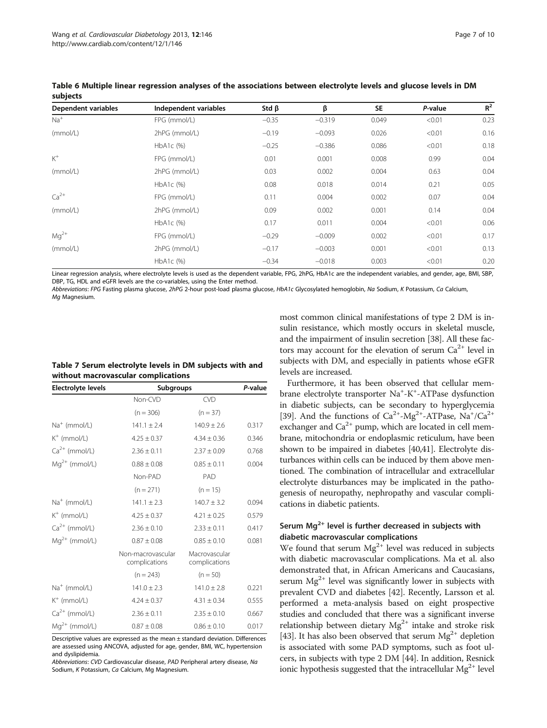| Dependent variables | Independent variables | Std $\beta$ | β        | <b>SE</b> | P-value | $R^2$ |
|---------------------|-----------------------|-------------|----------|-----------|---------|-------|
| $Na+$               | FPG (mmol/L)          | $-0.35$     | $-0.319$ | 0.049     | < 0.01  | 0.23  |
| (mmol/L)            | 2hPG (mmol/L)         | $-0.19$     | $-0.093$ | 0.026     | < 0.01  | 0.16  |
|                     | HbA1c (%)             | $-0.25$     | $-0.386$ | 0.086     | < 0.01  | 0.18  |
| $K^+$               | FPG (mmol/L)          | 0.01        | 0.001    | 0.008     | 0.99    | 0.04  |
| (mmol/L)            | 2hPG (mmol/L)         | 0.03        | 0.002    | 0.004     | 0.63    | 0.04  |
|                     | HbA1c (%)             | 0.08        | 0.018    | 0.014     | 0.21    | 0.05  |
| $Ca2+$              | FPG (mmol/L)          | 0.11        | 0.004    | 0.002     | 0.07    | 0.04  |
| (mmol/L)            | 2hPG (mmol/L)         | 0.09        | 0.002    | 0.001     | 0.14    | 0.04  |
|                     | HbA1c (%)             | 0.17        | 0.011    | 0.004     | < 0.01  | 0.06  |
| $Mq^{2+}$           | FPG (mmol/L)          | $-0.29$     | $-0.009$ | 0.002     | < 0.01  | 0.17  |
| (mmol/L)            | 2hPG (mmol/L)         | $-0.17$     | $-0.003$ | 0.001     | < 0.01  | 0.13  |
|                     | $HbA1c$ (%)           | $-0.34$     | $-0.018$ | 0.003     | < 0.01  | 0.20  |

<span id="page-6-0"></span>Table 6 Multiple linear regression analyses of the associations between electrolyte levels and glucose levels in DM subjects

Linear regression analysis, where electrolyte levels is used as the dependent variable, FPG, 2hPG, HbA1c are the independent variables, and gender, age, BMI, SBP, DBP, TG, HDL and eGFR levels are the co-variables, using the Enter method.

Abbreviations: FPG Fasting plasma glucose, 2hPG 2-hour post-load plasma glucose, HbA1c Glycosylated hemoglobin, Na Sodium, K Potassium, Ca Calcium, Ma Magnesium.

| Table 7 Serum electrolyte levels in DM subjects with and |  |
|----------------------------------------------------------|--|
| without macrovascular complications                      |  |

| <b>Electrolyte levels</b> | Subgroups                          | P-value                        |       |
|---------------------------|------------------------------------|--------------------------------|-------|
|                           | Non-CVD                            | <b>CVD</b>                     |       |
|                           | $(n = 306)$                        | $(n = 37)$                     |       |
| $Na+$ (mmol/L)            | $141.1 \pm 2.4$                    | $140.9 \pm 2.6$                | 0.317 |
| $K^+$ (mmol/L)            | $4.25 \pm 0.37$                    | $4.34 \pm 0.36$                | 0.346 |
| $Ca^{2+}$ (mmol/L)        | $2.36 \pm 0.11$                    | $2.37 \pm 0.09$                | 0.768 |
| $Mq^{2+}$ (mmol/L)        | $0.88 \pm 0.08$                    | $0.85 \pm 0.11$                | 0.004 |
|                           | Non-PAD                            | PAD                            |       |
|                           | $(n = 271)$                        | $(n = 15)$                     |       |
| $Na+$ (mmol/L)            | $141.1 \pm 2.3$                    | $140.7 \pm 3.2$                | 0.094 |
| $K^+$ (mmol/L)            | $4.25 \pm 0.37$                    | $4.21 \pm 0.25$                | 0.579 |
| $Ca2+$ (mmol/L)           | $2.36 \pm 0.10$                    | $2.33 \pm 0.11$                | 0.417 |
| $Mq^{2+}$ (mmol/L)        | $0.87 \pm 0.08$                    | $0.85 \pm 0.10$                | 0.081 |
|                           | Non-macrovascular<br>complications | Macrovascular<br>complications |       |
|                           | $(n = 243)$                        | $(n = 50)$                     |       |
| $Na+$ (mmol/L)            | $141.0 \pm 2.3$                    | $141.0 \pm 2.8$                | 0.221 |
| $K^+$ (mmol/L)            | $4.24 \pm 0.37$                    | $4.31 \pm 0.34$                | 0.555 |
| $Ca2+$ (mmol/L)           | $2.36 \pm 0.11$                    | $2.35 \pm 0.10$                | 0.667 |
| $Mq^{2+}$ (mmol/L)        | $0.87 \pm 0.08$                    | $0.86 \pm 0.10$                | 0.017 |

Descriptive values are expressed as the mean ± standard deviation. Differences are assessed using ANCOVA, adjusted for age, gender, BMI, WC, hypertension and dyslipidemia.

Abbreviations: CVD Cardiovascular disease, PAD Peripheral artery disease, Na Sodium, K Potassium, Ca Calcium, Mg Magnesium.

most common clinical manifestations of type 2 DM is insulin resistance, which mostly occurs in skeletal muscle, and the impairment of insulin secretion [[38](#page-8-0)]. All these factors may account for the elevation of serum  $Ca^{2+}$  level in subjects with DM, and especially in patients whose eGFR levels are increased.

Furthermore, it has been observed that cellular membrane electrolyte transporter Na<sup>+</sup>-K<sup>+</sup>-ATPase dysfunction in diabetic subjects, can be secondary to hyperglycemia [[39](#page-8-0)]. And the functions of  $Ca^{2+}$ -Mg<sup>2+</sup>-ATPase, Na<sup>+</sup>/Ca<sup>2+</sup> exchanger and  $Ca^{2+}$  pump, which are located in cell membrane, mitochondria or endoplasmic reticulum, have been shown to be impaired in diabetes [[40,41](#page-8-0)]. Electrolyte disturbances within cells can be induced by them above mentioned. The combination of intracellular and extracellular electrolyte disturbances may be implicated in the pathogenesis of neuropathy, nephropathy and vascular complications in diabetic patients.

# Serum  $Mg^{2+}$  level is further decreased in subjects with diabetic macrovascular complications

We found that serum  $Mg^{2+}$  level was reduced in subjects with diabetic macrovascular complications. Ma et al. also demonstrated that, in African Americans and Caucasians, serum  $Mg^{2+}$  level was significantly lower in subjects with prevalent CVD and diabetes [\[42\]](#page-8-0). Recently, Larsson et al. performed a meta-analysis based on eight prospective studies and concluded that there was a significant inverse relationship between dietary  $Mg^{2+}$  intake and stroke risk [[43](#page-8-0)]. It has also been observed that serum  $Mg^{2+}$  depletion is associated with some PAD symptoms, such as foot ulcers, in subjects with type 2 DM [[44](#page-8-0)]. In addition, Resnick ionic hypothesis suggested that the intracellular  $\mathrm{Mg^{2+}}$  level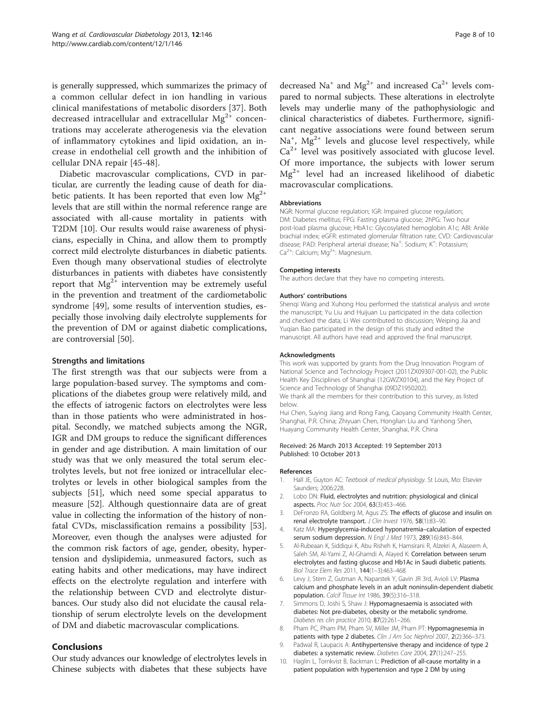<span id="page-7-0"></span>is generally suppressed, which summarizes the primacy of a common cellular defect in ion handling in various clinical manifestations of metabolic disorders [\[37](#page-8-0)]. Both decreased intracellular and extracellular  $Mg^{2+}$  concentrations may accelerate atherogenesis via the elevation of inflammatory cytokines and lipid oxidation, an increase in endothelial cell growth and the inhibition of cellular DNA repair [[45-48\]](#page-8-0).

Diabetic macrovascular complications, CVD in particular, are currently the leading cause of death for diabetic patients. It has been reported that even low  $Mg^{2+}$ levels that are still within the normal reference range are associated with all-cause mortality in patients with T2DM [10]. Our results would raise awareness of physicians, especially in China, and allow them to promptly correct mild electrolyte disturbances in diabetic patients. Even though many observational studies of electrolyte disturbances in patients with diabetes have consistently report that  $Mg^{2+}$  intervention may be extremely useful in the prevention and treatment of the cardiometabolic syndrome [[49\]](#page-8-0), some results of intervention studies, especially those involving daily electrolyte supplements for the prevention of DM or against diabetic complications, are controversial [\[50\]](#page-8-0).

#### Strengths and limitations

The first strength was that our subjects were from a large population-based survey. The symptoms and complications of the diabetes group were relatively mild, and the effects of iatrogenic factors on electrolytes were less than in those patients who were administrated in hospital. Secondly, we matched subjects among the NGR, IGR and DM groups to reduce the significant differences in gender and age distribution. A main limitation of our study was that we only measured the total serum electrolytes levels, but not free ionized or intracellular electrolytes or levels in other biological samples from the subjects [[51](#page-8-0)], which need some special apparatus to measure [\[52](#page-9-0)]. Although questionnaire data are of great value in collecting the information of the history of nonfatal CVDs, misclassification remains a possibility [\[53](#page-9-0)]. Moreover, even though the analyses were adjusted for the common risk factors of age, gender, obesity, hypertension and dyslipidemia, unmeasured factors, such as eating habits and other medications, may have indirect effects on the electrolyte regulation and interfere with the relationship between CVD and electrolyte disturbances. Our study also did not elucidate the causal relationship of serum electrolyte levels on the development of DM and diabetic macrovascular complications.

#### Conclusions

Our study advances our knowledge of electrolytes levels in Chinese subjects with diabetes that these subjects have

decreased Na<sup>+</sup> and Mg<sup>2+</sup> and increased Ca<sup>2+</sup> levels compared to normal subjects. These alterations in electrolyte levels may underlie many of the pathophysiologic and clinical characteristics of diabetes. Furthermore, significant negative associations were found between serum Na<sup>+</sup>, Mg<sup>2+</sup> levels and glucose level respectively, while  $Ca<sup>2+</sup>$  level was positively associated with glucose level. Of more importance, the subjects with lower serum  $Mg^{2+}$  level had an increased likelihood of diabetic macrovascular complications.

#### Abbreviations

NGR: Normal glucose regulation; IGR: Impaired glucose regulation; DM: Diabetes mellitus; FPG: Fasting plasma glucose; 2hPG: Two hour post-load plasma glucose; HbA1c: Glycosylated hemoglobin A1c; ABI: Ankle brachial index; eGFR: estimated glomerular filtration rate; CVD: Cardiovascular disease; PAD: Peripheral arterial disease; Na<sup>+</sup>: Sodium; K<sup>+</sup>: Potassium Ca<sup>2+</sup>: Calcium; Mg<sup>2+</sup>: Magnesium.

#### Competing interests

The authors declare that they have no competing interests.

#### Authors' contributions

Shenqi Wang and Xuhong Hou performed the statistical analysis and wrote the manuscript; Yu Liu and Huijuan Lu participated in the data collection and checked the data; Li Wei contributed to discussion; Weiping Jia and Yuqian Bao participated in the design of this study and edited the manuscript. All authors have read and approved the final manuscript.

#### Acknowledgments

This work was supported by grants from the Drug Innovation Program of National Science and Technology Project (2011ZX09307-001-02), the Public Health Key Disciplines of Shanghai (12GWZX0104), and the Key Project of Science and Technology of Shanghai (09DZ1950202).

We thank all the members for their contribution to this survey, as listed below.

Hui Chen, Suying Jiang and Rong Fang, Caoyang Community Health Center, Shanghai, P.R. China; Zhiyuan Chen, Honglian Liu and Yanhong Shen, Huayang Community Health Center, Shanghai, P.R. China

#### Received: 26 March 2013 Accepted: 19 September 2013 Published: 10 October 2013

#### References

- 1. Hall JE, Guyton AC: Textbook of medical physiology. St Louis, Mo: Elsevier Saunders; 2006:228.
- 2. Lobo DN: Fluid, electrolytes and nutrition: physiological and clinical aspects. Proc Nutr Soc 2004, 63(3):453–466.
- 3. DeFronzo RA, Goldberg M, Agus ZS: The effects of glucose and insulin on renal electrolyte transport. J Clin Invest 1976, 58(1):83–90.
- 4. Katz MA: Hyperglycemia-induced hyponatremia–calculation of expected serum sodium depression. N Engl J Med 1973, 289(16):843–844.
- 5. Al-Rubeaan K, Siddiqui K, Abu Risheh K, Hamsirani R, Alzekri A, Alaseem A, Saleh SM, Al-Yami Z, Al-Ghamdi A, Alayed K: Correlation between serum electrolytes and fasting glucose and Hb1Ac in Saudi diabetic patients. Biol Trace Elem Res 2011, 144(1–3):463–468.
- 6. Levy J, Stern Z, Gutman A, Naparstek Y, Gavin JR 3rd, Avioli LV: Plasma calcium and phosphate levels in an adult noninsulin-dependent diabetic population. Calcif Tissue Int 1986, 39(5):316–318.
- 7. Simmons D, Joshi S, Shaw J: Hypomagnesaemia is associated with diabetes: Not pre-diabetes, obesity or the metabolic syndrome. Diabetes res clin practice 2010, 87(2):261–266.
- 8. Pham PC, Pham PM, Pham SV, Miller JM, Pham PT: Hypomagnesemia in patients with type 2 diabetes. Clin J Am Soc Nephrol 2007, 2(2):366-373.
- 9. Padwal R, Laupacis A: Antihypertensive therapy and incidence of type 2 diabetes: a systematic review. Diabetes Care 2004, 27(1):247–255.
- 10. Haglin L, Tornkvist B, Backman L: Prediction of all-cause mortality in a patient population with hypertension and type 2 DM by using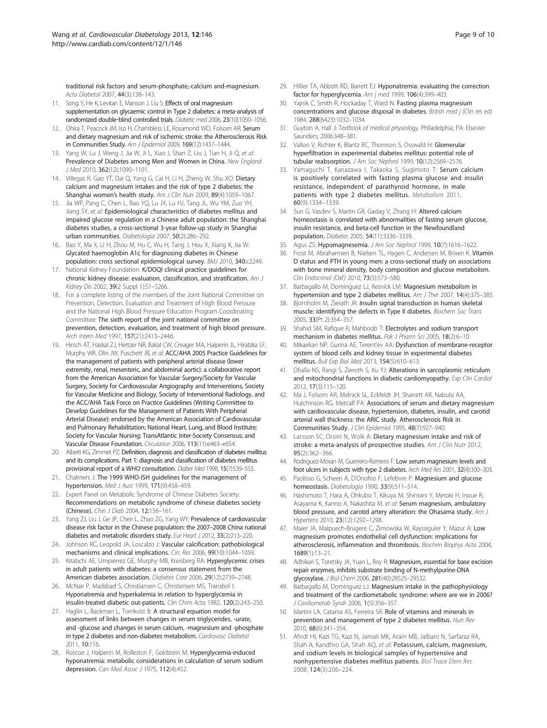<span id="page-8-0"></span>traditional risk factors and serum-phosphate,-calcium and-magnesium. Acta Diabetol 2007, 44(3):138–143.

- 11. Song Y, He K, Levitan E, Manson J, Liu S: Effects of oral magnesium supplementation on glycaemic control in Type 2 diabetes: a meta-analysis of randomized double‐blind controlled trials. Diabetic med 2006, 23(10):1050–1056.
- 12. Ohira T, Peacock JM, Iso H, Chambless LE, Rosamond WD, Folsom AR: Serum and dietary magnesium and risk of ischemic stroke: the Atherosclerosis Risk in Communities Study. Am J Epidemiol 2009, 169(12):1437–1444.
- 13. Yang W, Lu J, Weng J, Jia W, Ji L, Xiao J, Shan Z, Liu J, Tian H, Ji Q, et al: Prevalence of Diabetes among Men and Women in China. New England J Med 2010, 362(12):1090–1101.
- 14. Villegas R, Gao YT, Dai Q, Yang G, Cai H, Li H, Zheng W, Shu XO: Dietary calcium and magnesium intakes and the risk of type 2 diabetes: the Shanghai women's health study. Am J Clin Nutr 2009, 89(4):1059-1067.
- 15. Jia WP, Pang C, Chen L, Bao YQ, Lu JX, Lu HJ, Tang JL, Wu YM, Zuo YH, Jiang SY, et al: Epidemiological characteristics of diabetes mellitus and impaired glucose regulation in a Chinese adult population: the Shanghai diabetes studies, a cross-sectional 3-year follow-up study in Shanghai urban communities. Diabetologia 2007, 50(2):286–292.
- 16. Bao Y, Ma X, Li H, Zhou M, Hu C, Wu H, Tang J, Hou X, Xiang K, Jia W: Glycated haemoglobin A1c for diagnosing diabetes in Chinese population: cross sectional epidemiological survey. BMJ 2010, 340:c2249.
- 17. National Kidney Foundation: K/DOQI clinical practice guidelines for chronic kidney disease: evaluation, classification, and stratification. Am J Kidney Dis 2002, 39(2 Suppl 1):S1–S266.
- 18. For a complete listing of the members of the Joint National Committee on Prevention, Detection, Evaluation and Treatment of High Blood Pressure and the National High Blood Pressure Education Program Coordinating Committee: The sixth report of the joint national committee on prevention, detection, evaluation, and treatment of high blood pressure. Arch Intern Med 1997, 157(21):2413–2446.
- Hirsch AT, Haskal ZJ, Hertzer NR, Bakal CW, Creager MA, Halperin JL, Hiratzka LF, Murphy WR, Olin JW, Puschett JB, et al: ACC/AHA 2005 Practice Guidelines for the management of patients with peripheral arterial disease (lower extremity, renal, mesenteric, and abdominal aortic): a collaborative report from the American Association for Vascular Surgery/Society for Vascular Surgery, Society for Cardiovascular Angiography and Interventions, Society for Vascular Medicine and Biology, Society of Interventional Radiology, and the ACC/AHA Task Force on Practice Guidelines (Writing Committee to Develop Guidelines for the Management of Patients With Peripheral Arterial Disease): endorsed by the American Association of Cardiovascular and Pulmonary Rehabilitation; National Heart, Lung, and Blood Institute; Society for Vascular Nursing; TransAtlantic Inter-Society Consensus; and Vascular Disease Foundation. Circulation 2006, 113(11):e463–e654.
- 20. Alberti KG, Zimmet PZ: Definition, diagnosis and classification of diabetes mellitus and its complications. Part 1: diagnosis and classification of diabetes mellitus provisional report of a WHO consultation. Diabet Med 1998, 15(7):539–553.
- 21. Chalmers J: The 1999 WHO-ISH guidelines for the management of hypertension. Med J Aust 1999, 171(9):458–459.
- 22. Expert Panel on Metabolic Syndrome of Chinese Diabetes Society: Recommendations on metabolic syndrome of chinese diabetes society (Chinese). Chin J Diab 2004, 12:156–161.
- 23. Yang ZJ, Liu J, Ge JP, Chen L, Zhao ZG, Yang WY: Prevalence of cardiovascular disease risk factor in the Chinese population: the 2007–2008 China national diabetes and metabolic disorders study. Eur Heart J 2012, 33(2):213-220.
- 24. Johnson RC, Leopold JA, Loscalzo J: Vascular calcification: pathobiological mechanisms and clinical implications. Circ Res 2006, 99(10):1044–1059.
- 25. Kitabchi AE, Umpierrez GE, Murphy MB, Kreisberg RA: Hyperglycemic crises in adult patients with diabetes: a consensus statement from the American diabetes association. Diabetes Care 2006, 29(12):2739–2748.
- 26. McNair P, Madsbad S, Christiansen C, Christensen MS, Transbol I: Hyponatremia and hyperkalemia in relation to hyperglycemia in insulin-treated diabetic out-patients. Clin Chim Acta 1982, 120(2):243–250.
- 27. Haglin L, Backman L, Tornkvist B: A structural equation model for assessment of links between changes in serum triglycerides, -urate, and -glucose and changes in serum calcium, -magnesium and -phosphate in type 2 diabetes and non-diabetes metabolism. Cardiovasc Diabetol 2011, 10:116.
- 28. Roscoe J, Halperin M, Rolleston F, Goldstein M: Hyperglycemia-induced hyponatremia: metabolic considerations in calculation of serum sodium depression. Can Med Assoc J 1975, 112(4):452.
- 29. Hillier TA, Abbott RD, Barrett EJ: Hyponatremia: evaluating the correction factor for hyperglycemia. Am j med 1999, 106(4):399–403.
- 30. Yajnik C, Smith R, Hockaday T, Ward N: Fasting plasma magnesium concentrations and glucose disposal in diabetes. British med j (Clin res ed) 1984, 288(6423):1032–1034.
- 31. Guyton A, Hall J: Textbook of medical physiology. Philadelphia, PA: Elsevier Saunders; 2006:348–381.
- 32. Vallon V, Richter K, Blantz RC, Thomson S, Osswald H: Glomerular hyperfiltration in experimental diabetes mellitus: potential role of tubular reabsorption. J Am Soc Nephrol 1999, 10(12):2569-2576.
- 33. Yamaguchi T, Kanazawa I, Takaoka S, Sugimoto T: Serum calcium is positively correlated with fasting plasma glucose and insulin resistance, independent of parathyroid hormone, in male patients with type 2 diabetes mellitus. Metabolism 2011, 60(9):1334–1339.
- 34. Sun G, Vasdev S, Martin GR, Gadag V, Zhang H: Altered calcium homeostasis is correlated with abnormalities of fasting serum glucose, insulin resistance, and beta-cell function in the Newfoundland population. Diabetes 2005, 54(11):3336–3339.
- 35. Agus ZS: Hypomagnesemia. J Am Soc Nephrol 1999, 10(7):1616–1622.
- 36. Frost M, Abrahamsen B, Nielsen TL, Hagen C, Andersen M, Brixen K: Vitamin D status and PTH in young men: a cross-sectional study on associations with bone mineral density, body composition and glucose metabolism. Clin Endocrinol (Oxf) 2010, 73(5):573–580.
- 37. Barbagallo M, Dominguez LJ, Resnick LM: Magnesium metabolism in hypertension and type 2 diabetes mellitus. Am J Ther 2007, 14(4):375-385.
- 38. Bjornholm M, Zierath JR: Insulin signal transduction in human skeletal muscle: identifying the defects in Type II diabetes. Biochem Soc Trans 2005, 33(Pt 2):354–357.
- 39. Shahid SM, Rafique R, Mahboob T: Electrolytes and sodium transport mechanism in diabetes mellitus. Pak J Pharm Sci 2005, 18(2):6–10.
- 40. Mikaelian NP, Gurina AE, Terent'ev AA: Dysfunction of membrane-receptor system of blood cells and kidney tissue in experimental diabetes mellitus. Bull Exp Biol Med 2013, 154(5):610–613.
- 41. Dhalla NS, Rangi S, Zieroth S, Xu YJ: Alterations in sarcoplasmic reticulum and mitochondrial functions in diabetic cardiomyopathy. Exp Clin Cardiol 2012, 17(3):115–120.
- 42. Ma J, Folsom AR, Melnick SL, Eckfeldt JH, Sharrett AR, Nabulsi AA, Hutchinson RG, Metcalf PA: Associations of serum and dietary magnesium with cardiovascular disease, hypertension, diabetes, insulin, and carotid arterial wall thickness: the ARIC study. Atherosclerosis Risk in Communities Study. J Clin Epidemiol 1995, 48(7):927–940.
- 43. Larsson SC, Orsini N, Wolk A: Dietary magnesium intake and risk of stroke: a meta-analysis of prospective studies. Am J Clin Nutr 2012, 95(2):362–366.
- 44. Rodriguez-Moran M, Guerrero-Romero F: Low serum magnesium levels and foot ulcers in subjects with type 2 diabetes. Arch Med Res 2001, 32(4):300–303.
- 45. Paolisso G, Scheen A, D'Onofrio F, Lefebvre P: Magnesium and glucose homeostasis. Diabetologia 1990, 33(9):511–514.
- 46. Hashimoto T, Hara A, Ohkubo T, Kikuya M, Shintani Y, Metoki H, Inoue R, Asayama K, Kanno A, Nakashita M, et al: Serum magnesium, ambulatory blood pressure, and carotid artery alteration: the Ohasama study. Am J Hypertens 2010, 23(12):1292–1298.
- 47. Maier JA, Malpuech-Brugere C, Zimowska W, Rayssiguier Y, Mazur A: Low magnesium promotes endothelial cell dysfunction: implications for atherosclerosis, inflammation and thrombosis. Biochim Biophys Acta 2004, 1689(1):13–21.
- 48. Adhikari S, Toretsky JA, Yuan L, Roy R: Magnesium, essential for base excision repair enzymes, inhibits substrate binding of N-methylpurine-DNA glycosylase. J Biol Chem 2006, 281(40):29525–29532.
- 49. Barbagallo M, Dominguez LJ: Magnesium intake in the pathophysiology and treatment of the cardiometabolic syndrome: where are we in 2006? J Cardiometab Syndr 2006, 1(5):356–357.
- 50. Martini LA, Catania AS, Ferreira SR: Role of vitamins and minerals in prevention and management of type 2 diabetes mellitus. Nutr Rev 2010, 68(6):341–354.
- 51. Afridi HI, Kazi TG, Kazi N, Jamali MK, Arain MB, Jalbani N, Sarfaraz RA, Shah A, Kandhro GA, Shah AQ, et al: Potassium, calcium, magnesium, and sodium levels in biological samples of hypertensive and nonhypertensive diabetes mellitus patients. Biol Trace Elem Res 2008, 124(3):206–224.